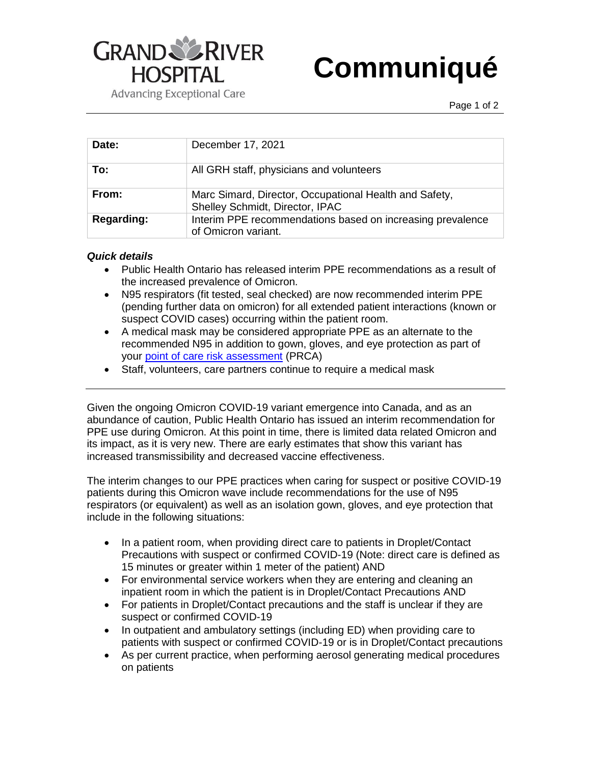

## **Communiqué**

**Advancing Exceptional Care** 

| Date:             | December 17, 2021                                                                         |
|-------------------|-------------------------------------------------------------------------------------------|
| To:               | All GRH staff, physicians and volunteers                                                  |
| From:             | Marc Simard, Director, Occupational Health and Safety,<br>Shelley Schmidt, Director, IPAC |
| <b>Regarding:</b> | Interim PPE recommendations based on increasing prevalence<br>of Omicron variant.         |

## *Quick details*

- Public Health Ontario has released interim PPE recommendations as a result of the increased prevalence of Omicron.
- N95 respirators (fit tested, seal checked) are now recommended interim PPE (pending further data on omicron) for all extended patient interactions (known or suspect COVID cases) occurring within the patient room.
- A medical mask may be considered appropriate PPE as an alternate to the recommended N95 in addition to gown, gloves, and eye protection as part of your [point of care risk assessment](https://www.grhallthingscovid.com/2021/12/15/point-of-care-risk-assessment-pcra/) (PRCA)
- Staff, volunteers, care partners continue to require a medical mask

Given the ongoing Omicron COVID-19 variant emergence into Canada, and as an abundance of caution, Public Health Ontario has issued an interim recommendation for PPE use during Omicron. At this point in time, there is limited data related Omicron and its impact, as it is very new. There are early estimates that show this variant has increased transmissibility and decreased vaccine effectiveness.

The interim changes to our PPE practices when caring for suspect or positive COVID-19 patients during this Omicron wave include recommendations for the use of N95 respirators (or equivalent) as well as an isolation gown, gloves, and eye protection that include in the following situations:

- In a patient room, when providing direct care to patients in Droplet/Contact Precautions with suspect or confirmed COVID-19 (Note: direct care is defined as 15 minutes or greater within 1 meter of the patient) AND
- For environmental service workers when they are entering and cleaning an inpatient room in which the patient is in Droplet/Contact Precautions AND
- For patients in Droplet/Contact precautions and the staff is unclear if they are suspect or confirmed COVID-19
- In outpatient and ambulatory settings (including ED) when providing care to patients with suspect or confirmed COVID-19 or is in Droplet/Contact precautions
- As per current practice, when performing aerosol generating medical procedures on patients